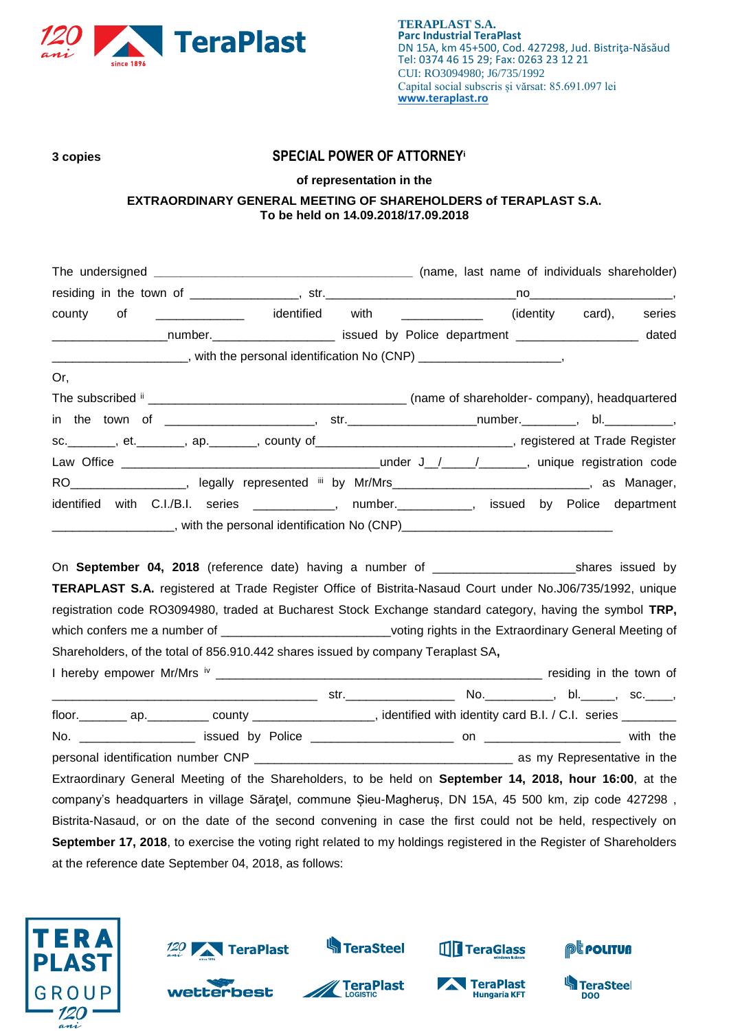

## **3 copies SPECIAL POWER OF ATTORNEY<sup>i</sup>**

## **of representation in the**

## **EXTRAORDINARY GENERAL MEETING OF SHAREHOLDERS of TERAPLAST S.A. To be held on 14.09.2018/17.09.2018**

| county of _____________ identified with ____________ (identity card),                                            |  |  | series |
|------------------------------------------------------------------------------------------------------------------|--|--|--------|
| _______________________number._________________________ issued by Police department ____________________         |  |  | dated  |
| _________________________, with the personal identification No (CNP) _______________________,                    |  |  |        |
| Or,                                                                                                              |  |  |        |
|                                                                                                                  |  |  |        |
|                                                                                                                  |  |  |        |
| sc. _______, et. _______, ap. _______, county of _____________________________, registered at Trade Register     |  |  |        |
|                                                                                                                  |  |  |        |
| RO___________________, legally represented iii by Mr/Mrs_______________________________, as Manager,             |  |  |        |
| identified with C.I./B.I. series ____________, number.__________, issued by Police department                    |  |  |        |
|                                                                                                                  |  |  |        |
|                                                                                                                  |  |  |        |
| On September 04, 2018 (reference date) having a number of ____________________________shares issued by           |  |  |        |
| TERAPLAST S.A. registered at Trade Register Office of Bistrita-Nasaud Court under No.J06/735/1992, unique        |  |  |        |
| registration code RO3094980, traded at Bucharest Stock Exchange standard category, having the symbol TRP,        |  |  |        |
| which confers me a number of ______________________________voting rights in the Extraordinary General Meeting of |  |  |        |
| Shareholders, of the total of 856.910.442 shares issued by company Teraplast SA,                                 |  |  |        |
|                                                                                                                  |  |  |        |

\_\_\_\_\_\_\_\_\_\_\_\_\_\_\_\_\_\_\_\_\_\_\_\_\_\_\_\_\_\_\_\_\_\_\_\_\_\_\_ str.\_\_\_\_\_\_\_\_\_\_\_\_\_\_\_\_ No.\_\_\_\_\_\_\_\_\_\_, bl.\_\_\_\_\_, sc.\_\_\_\_, floor.\_\_\_\_\_\_\_\_ ap.\_\_\_\_\_\_\_\_\_ county \_\_\_\_\_\_\_\_\_\_\_\_\_\_\_\_\_, identified with identity card B.I. / C.I. series \_\_ No. \_\_\_\_\_\_\_\_\_\_\_\_\_\_\_\_\_ issued by Police \_\_\_\_\_\_\_\_\_\_\_\_\_\_\_\_\_\_\_\_\_ on \_\_\_\_\_\_\_\_\_\_\_\_\_\_\_\_\_\_\_\_ with the personal identification number CNP **with a substantial example of the set of the set of the set of the set of the** Extraordinary General Meeting of the Shareholders, to be held on **September 14, 2018, hour 16:00**, at the company's headquarters in village Săraţel, commune Șieu-Magheruș, DN 15A, 45 500 km, zip code 427298 , Bistrita-Nasaud, or on the date of the second convening in case the first could not be held, respectively on **September 17, 2018**, to exercise the voting right related to my holdings registered in the Register of Shareholders at the reference date September 04, 2018, as follows:







**K**TeraSteel



TeraGlass



**TeraSteel** 

**DOO**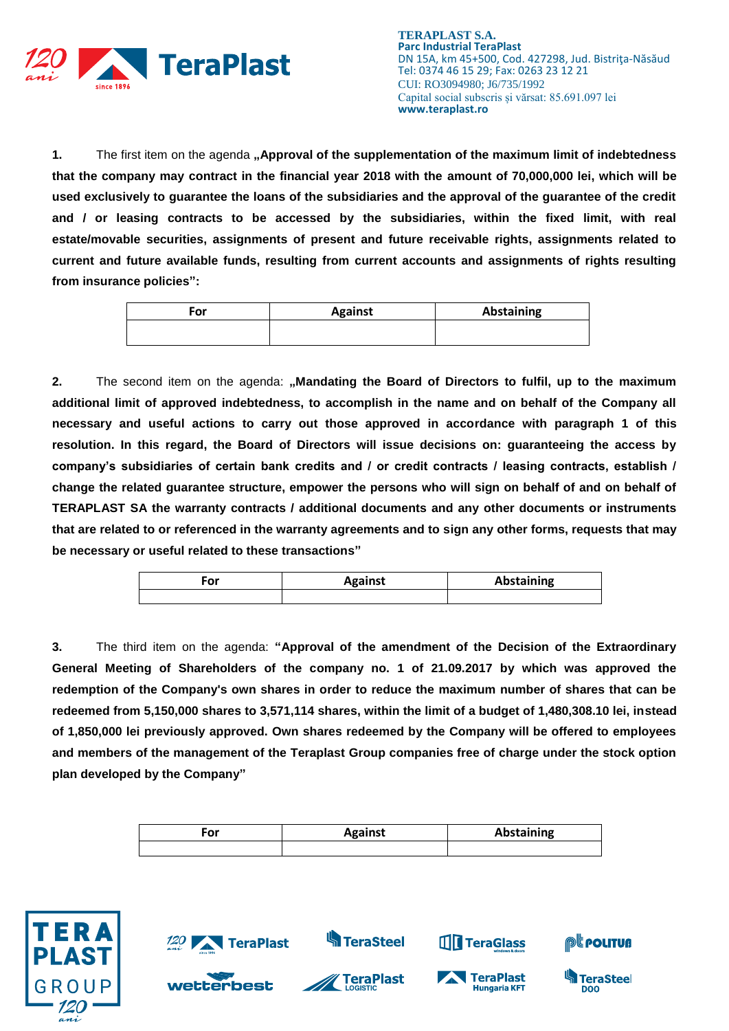

**TERAPLAST S.A. Parc Industrial TeraPlast** DN 15A, km 45+500, Cod. 427298, Jud. Bistriţa-Năsăud Tel: 0374 46 15 29; Fax: 0263 23 12 21 CUI: RO3094980; J6/735/1992 Capital social subscris și vărsat: 85.691.097 lei **www.teraplast.ro**

**1.** The first item on the agenda "Approval of the supplementation of the maximum limit of indebtedness **that the company may contract in the financial year 2018 with the amount of 70,000,000 lei, which will be used exclusively to guarantee the loans of the subsidiaries and the approval of the guarantee of the credit and / or leasing contracts to be accessed by the subsidiaries, within the fixed limit, with real estate/movable securities, assignments of present and future receivable rights, assignments related to current and future available funds, resulting from current accounts and assignments of rights resulting from insurance policies":**

| ™or | <b>Against</b> | Abstaining |
|-----|----------------|------------|
|     |                |            |

**2.** The second item on the agenda: **"Mandating the Board of Directors to fulfil, up to the maximum additional limit of approved indebtedness, to accomplish in the name and on behalf of the Company all necessary and useful actions to carry out those approved in accordance with paragraph 1 of this resolution. In this regard, the Board of Directors will issue decisions on: guaranteeing the access by company's subsidiaries of certain bank credits and / or credit contracts / leasing contracts, establish / change the related guarantee structure, empower the persons who will sign on behalf of and on behalf of TERAPLAST SA the warranty contracts / additional documents and any other documents or instruments that are related to or referenced in the warranty agreements and to sign any other forms, requests that may be necessary or useful related to these transactions"**

| or | <b>Against</b> | Abstaining |
|----|----------------|------------|
|    |                |            |

**3.** The third item on the agenda: **"Approval of the amendment of the Decision of the Extraordinary General Meeting of Shareholders of the company no. 1 of 21.09.2017 by which was approved the redemption of the Company's own shares in order to reduce the maximum number of shares that can be redeemed from 5,150,000 shares to 3,571,114 shares, within the limit of a budget of 1,480,308.10 lei, instead of 1,850,000 lei previously approved. Own shares redeemed by the Company will be offered to employees and members of the management of the Teraplast Group companies free of charge under the stock option plan developed by the Company"**

| ۰or | <b>Against</b> | Abstaining |
|-----|----------------|------------|
|     |                |            |

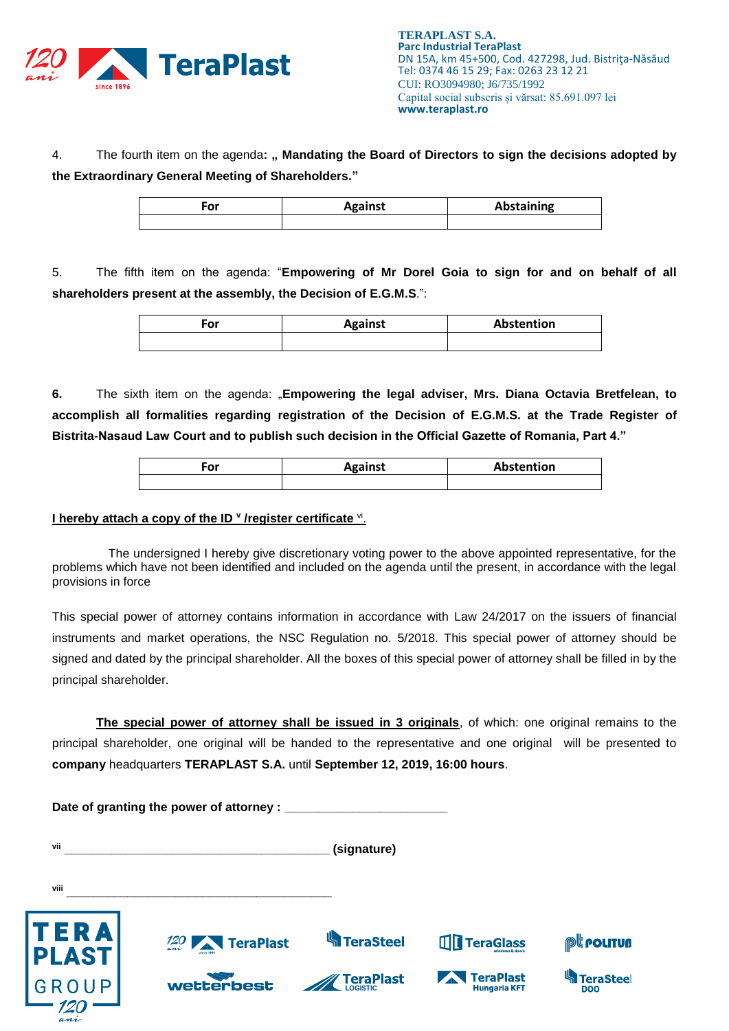

4. The fourth item on the agenda**: " Mandating the Board of Directors to sign the decisions adopted by the Extraordinary General Meeting of Shareholders."**

| ∙or | <b>Against</b> | Abstaining |
|-----|----------------|------------|
|     |                |            |

5. The fifth item on the agenda: "**Empowering of Mr Dorel Goia to sign for and on behalf of all shareholders present at the assembly, the Decision of E.G.M.S**.":

| or | <b>Against</b> | Abstention |
|----|----------------|------------|
|    |                |            |

**6.** The sixth item on the agenda: "**Empowering the legal adviser, Mrs. Diana Octavia Bretfelean, to accomplish all formalities regarding registration of the Decision of E.G.M.S. at the Trade Register of Bistrita-Nasaud Law Court and to publish such decision in the Official Gazette of Romania, Part 4."**

| -or | <b>Against</b> | Abstention |
|-----|----------------|------------|
|     |                |            |

## **I hereby attach a copy of the ID <sup>v</sup> /register certificate <sup>vi</sup>.**

The undersigned I hereby give discretionary voting power to the above appointed representative, for the problems which have not been identified and included on the agenda until the present, in accordance with the legal provisions in force

This special power of attorney contains information in accordance with Law 24/2017 on the issuers of financial instruments and market operations, the NSC Regulation no. 5/2018. This special power of attorney should be signed and dated by the principal shareholder. All the boxes of this special power of attorney shall be filled in by the principal shareholder.

**The special power of attorney shall be issued in 3 originals**, of which: one original remains to the principal shareholder, one original will be handed to the representative and one original will be presented to **company** headquarters **TERAPLAST S.A.** until **September 12, 2019, 16:00 hours**.

|                      | Date of granting the power of attorney : ____ |                    |                                         |                                |
|----------------------|-----------------------------------------------|--------------------|-----------------------------------------|--------------------------------|
| vii                  |                                               | (signature)        |                                         |                                |
| viii                 |                                               |                    |                                         |                                |
| TERA<br><b>PLAST</b> | 120 <b>TeraPlast</b>                          | <b>K</b> TeraSteel | <b>THE TeraGlass</b>                    | <b>PEPOLITUA</b>               |
| GROUP                | wetterbest                                    | <b>TeraPlast</b>   | <b>TeraPlast</b><br><b>Hungaria KFT</b> | <b>TeraSteel</b><br><b>DOO</b> |